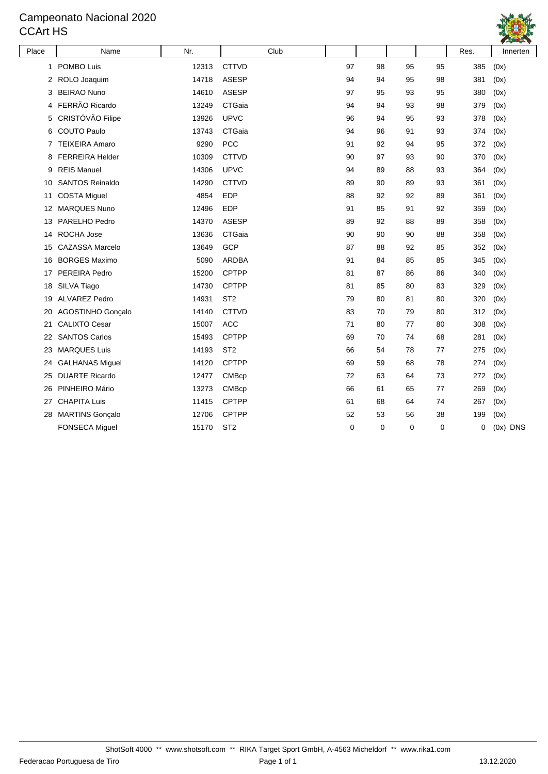#### Campeonato Nacional 2020 CCArt HS



| Place | Name                   | Nr.   | Club            |    |    |             |             | Res. | Innerten   |
|-------|------------------------|-------|-----------------|----|----|-------------|-------------|------|------------|
| 1     | POMBO Luis             | 12313 | <b>CTTVD</b>    | 97 | 98 | 95          | 95          | 385  | (0x)       |
| 2     | ROLO Joaquim           | 14718 | <b>ASESP</b>    | 94 | 94 | 95          | 98          | 381  | (0x)       |
| 3     | <b>BEIRAO Nuno</b>     | 14610 | <b>ASESP</b>    | 97 | 95 | 93          | 95          | 380  | (0x)       |
| 4     | FERRÃO Ricardo         | 13249 | CTGaia          | 94 | 94 | 93          | 98          | 379  | (0x)       |
| 5     | CRISTÓVÃO Filipe       | 13926 | <b>UPVC</b>     | 96 | 94 | 95          | 93          | 378  | (0x)       |
| 6     | <b>COUTO Paulo</b>     | 13743 | CTGaia          | 94 | 96 | 91          | 93          | 374  | (0x)       |
| 7     | <b>TEIXEIRA Amaro</b>  | 9290  | <b>PCC</b>      | 91 | 92 | 94          | 95          | 372  | (0x)       |
| 8     | <b>FERREIRA Helder</b> | 10309 | <b>CTTVD</b>    | 90 | 97 | 93          | 90          | 370  | (0x)       |
| 9     | <b>REIS Manuel</b>     | 14306 | <b>UPVC</b>     | 94 | 89 | 88          | 93          | 364  | (0x)       |
| 10    | <b>SANTOS Reinaldo</b> | 14290 | <b>CTTVD</b>    | 89 | 90 | 89          | 93          | 361  | (0x)       |
| 11    | <b>COSTA Miguel</b>    | 4854  | <b>EDP</b>      | 88 | 92 | 92          | 89          | 361  | (0x)       |
| 12    | <b>MARQUES Nuno</b>    | 12496 | <b>EDP</b>      | 91 | 85 | 91          | 92          | 359  | (0x)       |
| 13    | PARELHO Pedro          | 14370 | <b>ASESP</b>    | 89 | 92 | 88          | 89          | 358  | (0x)       |
| 14    | ROCHA Jose             | 13636 | CTGaia          | 90 | 90 | 90          | 88          | 358  | (0x)       |
| 15    | <b>CAZASSA Marcelo</b> | 13649 | GCP             | 87 | 88 | 92          | 85          | 352  | (0x)       |
| 16    | <b>BORGES Maximo</b>   | 5090  | <b>ARDBA</b>    | 91 | 84 | 85          | 85          | 345  | (0x)       |
| 17    | PEREIRA Pedro          | 15200 | <b>CPTPP</b>    | 81 | 87 | 86          | 86          | 340  | (0x)       |
| 18    | SILVA Tiago            | 14730 | <b>CPTPP</b>    | 81 | 85 | 80          | 83          | 329  | (0x)       |
| 19    | <b>ALVAREZ Pedro</b>   | 14931 | ST <sub>2</sub> | 79 | 80 | 81          | 80          | 320  | (0x)       |
| 20    | AGOSTINHO Gonçalo      | 14140 | <b>CTTVD</b>    | 83 | 70 | 79          | 80          | 312  | (0x)       |
| 21    | <b>CALIXTO Cesar</b>   | 15007 | <b>ACC</b>      | 71 | 80 | 77          | 80          | 308  | (0x)       |
| 22    | <b>SANTOS Carlos</b>   | 15493 | <b>CPTPP</b>    | 69 | 70 | 74          | 68          | 281  | (0x)       |
| 23    | <b>MARQUES Luis</b>    | 14193 | ST <sub>2</sub> | 66 | 54 | 78          | 77          | 275  | (0x)       |
| 24    | <b>GALHANAS Miguel</b> | 14120 | <b>CPTPP</b>    | 69 | 59 | 68          | 78          | 274  | (0x)       |
| 25    | <b>DUARTE Ricardo</b>  | 12477 | <b>CMBcp</b>    | 72 | 63 | 64          | 73          | 272  | (0x)       |
| 26    | PINHEIRO Mário         | 13273 | <b>CMBcp</b>    | 66 | 61 | 65          | 77          | 269  | (0x)       |
| 27    | <b>CHAPITA Luis</b>    | 11415 | <b>CPTPP</b>    | 61 | 68 | 64          | 74          | 267  | (0x)       |
| 28    | <b>MARTINS Gonçalo</b> | 12706 | <b>CPTPP</b>    | 52 | 53 | 56          | 38          | 199  | (0x)       |
|       | <b>FONSECA Miguel</b>  | 15170 | ST <sub>2</sub> | 0  | 0  | $\mathbf 0$ | $\mathbf 0$ | 0    | $(0x)$ DNS |
|       |                        |       |                 |    |    |             |             |      |            |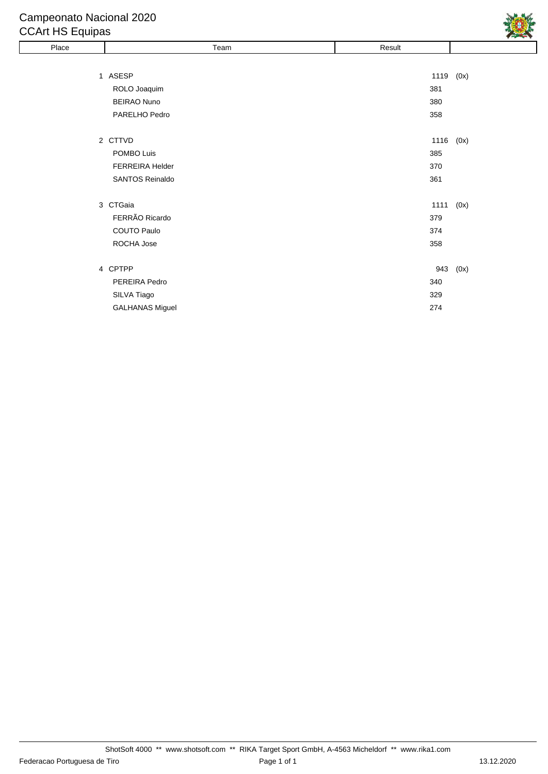# Campeonato Nacional 2020

## CCArt HS Equipas

| Place | Team                   | Result    |      |
|-------|------------------------|-----------|------|
|       |                        |           |      |
|       | 1 ASESP                | 1119      | (0x) |
|       | ROLO Joaquim           | 381       |      |
|       | <b>BEIRAO Nuno</b>     | 380       |      |
|       | PARELHO Pedro          | 358       |      |
|       |                        |           |      |
|       | 2 CTTVD                | 1116 (0x) |      |
|       | POMBO Luis             | 385       |      |
|       | FERREIRA Helder        | 370       |      |
|       | <b>SANTOS Reinaldo</b> | 361       |      |
|       |                        |           |      |
|       | 3 CTGaia               | 1111      | (0x) |
|       | FERRÃO Ricardo         | 379       |      |
|       | COUTO Paulo            | 374       |      |
|       | ROCHA Jose             | 358       |      |
|       |                        |           |      |
|       | 4 CPTPP                | 943       | (0x) |
|       | PEREIRA Pedro          | 340       |      |
|       | SILVA Tiago            | 329       |      |
|       | <b>GALHANAS Miguel</b> | 274       |      |

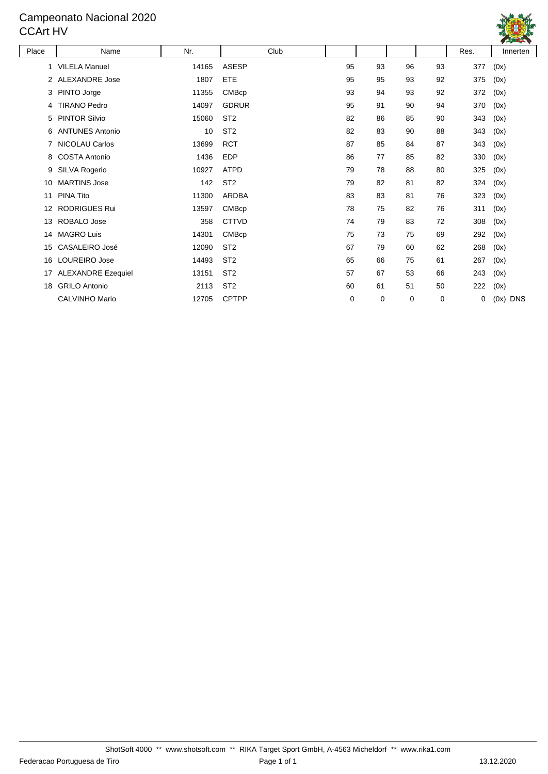#### Campeonato Nacional 2020 CCArt HV



| Place | Name                      | Nr.   | Club            |    |    |             |    | Res. | Innerten           |
|-------|---------------------------|-------|-----------------|----|----|-------------|----|------|--------------------|
| 1.    | <b>VILELA Manuel</b>      | 14165 | <b>ASESP</b>    | 95 | 93 | 96          | 93 | 377  | (0x)               |
| 2     | <b>ALEXANDRE Jose</b>     | 1807  | ETE             | 95 | 95 | 93          | 92 | 375  | (0x)               |
| 3     | PINTO Jorge               | 11355 | <b>CMBcp</b>    | 93 | 94 | 93          | 92 | 372  | (0x)               |
| 4     | <b>TIRANO Pedro</b>       | 14097 | <b>GDRUR</b>    | 95 | 91 | 90          | 94 | 370  | (0x)               |
| 5     | <b>PINTOR Silvio</b>      | 15060 | ST <sub>2</sub> | 82 | 86 | 85          | 90 | 343  | (0x)               |
| 6     | <b>ANTUNES Antonio</b>    | 10    | ST <sub>2</sub> | 82 | 83 | 90          | 88 | 343  | (0x)               |
| 7     | <b>NICOLAU Carlos</b>     | 13699 | <b>RCT</b>      | 87 | 85 | 84          | 87 | 343  | (0x)               |
| 8     | <b>COSTA Antonio</b>      | 1436  | <b>EDP</b>      | 86 | 77 | 85          | 82 | 330  | (0x)               |
| 9     | SILVA Rogerio             | 10927 | <b>ATPD</b>     | 79 | 78 | 88          | 80 | 325  | (0x)               |
| 10    | <b>MARTINS Jose</b>       | 142   | ST <sub>2</sub> | 79 | 82 | 81          | 82 | 324  | (0x)               |
| 11    | <b>PINA Tito</b>          | 11300 | ARDBA           | 83 | 83 | 81          | 76 | 323  | (0x)               |
| 12    | <b>RODRIGUES Rui</b>      | 13597 | <b>CMBcp</b>    | 78 | 75 | 82          | 76 | 311  | (0x)               |
| 13    | ROBALO Jose               | 358   | <b>CTTVD</b>    | 74 | 79 | 83          | 72 | 308  | (0x)               |
| 14    | <b>MAGRO Luis</b>         | 14301 | <b>CMBcp</b>    | 75 | 73 | 75          | 69 | 292  | (0x)               |
| 15    | <b>CASALEIRO José</b>     | 12090 | ST <sub>2</sub> | 67 | 79 | 60          | 62 | 268  | (0x)               |
| 16    | LOUREIRO Jose             | 14493 | ST <sub>2</sub> | 65 | 66 | 75          | 61 | 267  | (0x)               |
| 17    | <b>ALEXANDRE Ezequiel</b> | 13151 | ST <sub>2</sub> | 57 | 67 | 53          | 66 | 243  | (0x)               |
| 18    | <b>GRILO Antonio</b>      | 2113  | ST <sub>2</sub> | 60 | 61 | 51          | 50 | 222  | (0x)               |
|       | <b>CALVINHO Mario</b>     | 12705 | <b>CPTPP</b>    | 0  | 0  | $\mathbf 0$ | 0  | 0    | (0x)<br><b>DNS</b> |
|       |                           |       |                 |    |    |             |    |      |                    |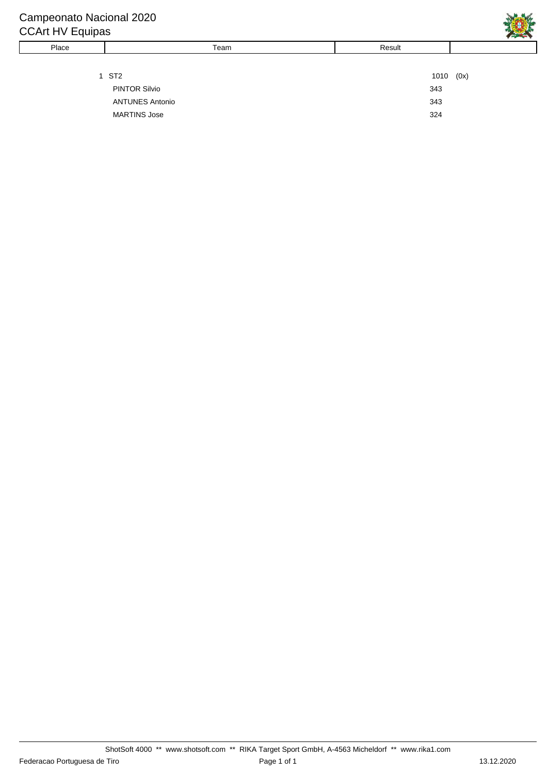| Place | Team                   | Result |      |
|-------|------------------------|--------|------|
|       |                        |        |      |
|       | 1 ST2                  | 1010   | (0x) |
|       | <b>PINTOR Silvio</b>   | 343    |      |
|       | <b>ANTUNES Antonio</b> | 343    |      |
|       | <b>MARTINS Jose</b>    | 324    |      |
|       |                        |        |      |

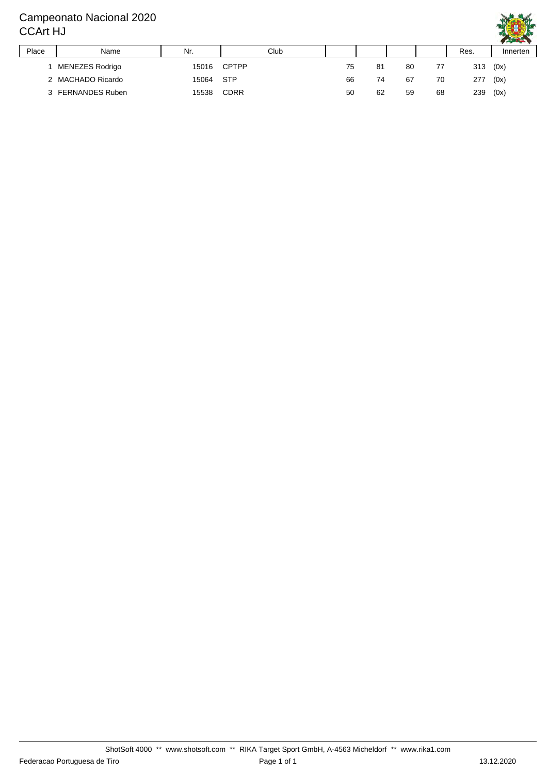#### Campeonato Nacional 2020 CCArt HJ



|       |                   |       |             |    |    |    |    |      | $\cdots$ |
|-------|-------------------|-------|-------------|----|----|----|----|------|----------|
| Place | Name              | Nr.   | Club        |    |    |    |    | Res. | Innerten |
|       | MENEZES Rodrigo   | 15016 | CPTPP       | 75 | 81 | 80 | 77 | 313  | (0x)     |
|       | 2 MACHADO Ricardo | 15064 | <b>STP</b>  | 66 | 74 | 67 | 70 | 277  | (0x)     |
|       | 3 FERNANDES Ruben | 15538 | <b>CDRR</b> | 50 | 62 | 59 | 68 | 239  | (0x)     |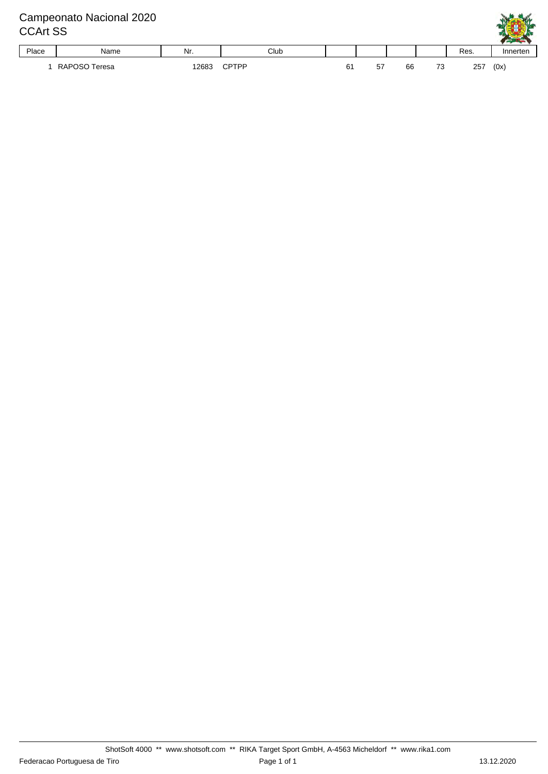## Campeonato Nacional 2020 CCArt SS Place | Name | Nr. | Club | | | | Res. | Innerten 1 RAPOSO Teresa 12683 CPTPP 61 57 66 73 257 (0x)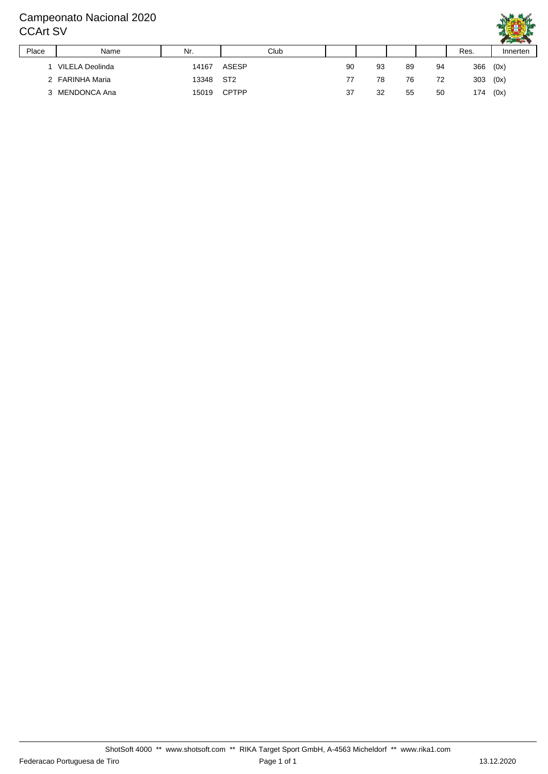#### Campeonato Nacional 2020 CCArt SV



|       |                 |           |              |    |    |    |    |      | .        |
|-------|-----------------|-----------|--------------|----|----|----|----|------|----------|
| Place | Name            | Nr.       | Club         |    |    |    |    | Res. | Innerten |
|       | VILELA Deolinda | 14167     | ASESP        | 90 | 93 | 89 | 94 | 366  | (0x)     |
|       | 2 FARINHA Maria | 13348 ST2 |              | 77 | 78 | 76 | 72 | 303  | (0x)     |
|       | 3 MENDONCA Ana  | 15019     | <b>CPTPP</b> | 37 | 32 | 55 | 50 | 174  | (0x)     |